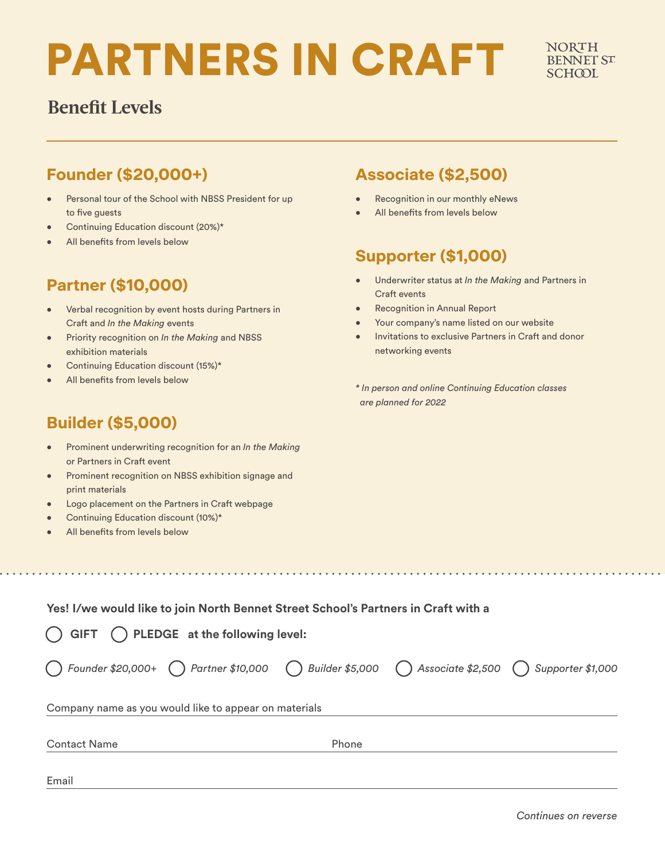# PARTNERS IN CRAFT

## **Benefit Levels**

### **Founder (\$20,000+)**

- Personal tour of the School with NBSS President for up to five guests
- Continuing Education discount (20%)\*
- All benefits from levels below

#### **Partner (\$10,000)**

- Verbal recognition by event hosts during Partners in Craft and *In the Making* events
- Priority recognition on *In the Making* and NBSS exhibition materials
- Continuing Education discount (15%)\*
- All benefits from levels below

#### **Associate (\$2,500)**

- Recognition in our monthly eNews
- All benefits from levels below

#### **Supporter (\$1,000)**

- Underwriter status at *In the Making* and Partners in Craft events
- Recognition in Annual Report
- Your company's name listed on our website
- Invitations to exclusive Partners in Craft and donor networking events
- *\* In person and online Continuing Education classes are planned for 2022*

and a share and a single

#### **Builder (\$5,000)**

- Prominent underwriting recognition for an *In the Making* or Partners in Craft event
- Prominent recognition on NBSS exhibition signage and print materials
- Logo placement on the Partners in Craft webpage
- Continuing Education discount (10%)\*
- All benefits from levels below

**Yes! I/we would like to join North Bennet Street School's Partners in Craft with a** 

| Email                                                                                                   |       |  |
|---------------------------------------------------------------------------------------------------------|-------|--|
| <b>Contact Name</b>                                                                                     | Phone |  |
| Company name as you would like to appear on materials                                                   |       |  |
| (C) Founder \$20,000+ (C) Partner \$10,000 (Builder \$5,000 (C) Associate \$2,500 (C) Supporter \$1,000 |       |  |
| $\binom{1}{1}$ GIFT $\binom{1}{1}$ PLEDGE at the following level:                                       |       |  |

<u>. . . . . . . . . . . .</u>